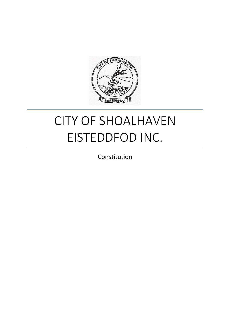

# CITY OF SHOALHAVEN EISTEDDFOD INC.

Constitution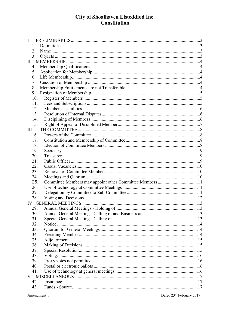| I        |                                                          |  |
|----------|----------------------------------------------------------|--|
|          |                                                          |  |
| 2.       |                                                          |  |
| 3.       |                                                          |  |
| $\rm II$ |                                                          |  |
| 4.       |                                                          |  |
| 5.       |                                                          |  |
| 6.       |                                                          |  |
| 7.       |                                                          |  |
| 8.       |                                                          |  |
| 9.       |                                                          |  |
| 10.      |                                                          |  |
| 11.      |                                                          |  |
| 12.      |                                                          |  |
| 13.      |                                                          |  |
| 14.      |                                                          |  |
| 15.      |                                                          |  |
| III      |                                                          |  |
| 16.      |                                                          |  |
| 17.      |                                                          |  |
| 18.      |                                                          |  |
| 19.      |                                                          |  |
| 20.      |                                                          |  |
| 21.      |                                                          |  |
| 22.      |                                                          |  |
| 23.      |                                                          |  |
| 24.      |                                                          |  |
| 25.      | Committee Members may appoint other Committee Members 11 |  |
| 26.      |                                                          |  |
| 27.      |                                                          |  |
| 28.      |                                                          |  |
|          |                                                          |  |
| 29.      |                                                          |  |
| 30.      |                                                          |  |
| 31.      |                                                          |  |
| 32.      |                                                          |  |
| 33.      |                                                          |  |
| 34.      |                                                          |  |
| 35.      |                                                          |  |
| 36.      |                                                          |  |
| 37.      |                                                          |  |
| 38.      |                                                          |  |
| 39.      |                                                          |  |
| 40.      |                                                          |  |
| 41.      |                                                          |  |
| V        |                                                          |  |
| 42.      |                                                          |  |
| 43.      |                                                          |  |
|          |                                                          |  |

Dated 23rd February 2017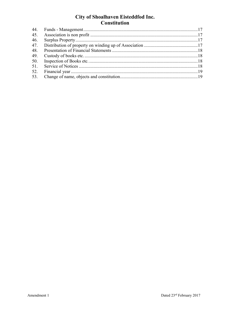| 44. |  |
|-----|--|
| 45. |  |
| 46. |  |
| 47. |  |
| 48. |  |
| 49. |  |
| 50. |  |
| 51. |  |
| 52. |  |
| 53. |  |
|     |  |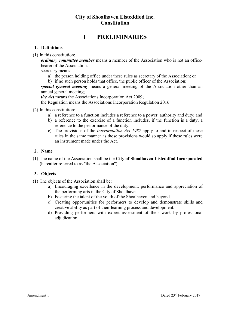## **I PRELIMINARIES**

## <span id="page-3-1"></span><span id="page-3-0"></span>**1. Definitions**

(1) In this constitution:

*ordinary committee member* means a member of the Association who is not an officebearer of the Association.

secretary means:

- a) the person holding office under these rules as secretary of the Association; or
- b) if no such person holds that office, the public officer of the Association;

*special general meeting* means a general meeting of the Association other than an annual general meeting;

*the Act* means the Associations Incorporation Act 2009;

the Regulation means the Associations Incorporation Regulation 2016

(2) In this constitution:

- a) a reference to a function includes a reference to a power, authority and duty; and
- b) a reference to the exercise of a function includes, if the function is a duty, a reference to the performance of the duty.
- c) The provisions of the *Interpretation Act 1987* apply to and in respect of these rules in the same manner as those provisions would so apply if these rules were an instrument made under the Act.

## <span id="page-3-2"></span>**2. Name**

(1) The name of the Association shall be the **City of Shoalhaven Eisteddfod Incorporated** (hereafter referred to as "the Association")

## <span id="page-3-3"></span>**3. Objects**

- (1) The objects of the Association shall be:
	- a) Encouraging excellence in the development, performance and appreciation of the performing arts in the City of Shoalhaven.
	- b) Fostering the talent of the youth of the Shoalhaven and beyond.
	- c) Creating opportunities for performers to develop and demonstrate skills and creative ability as part of their learning process and development.
	- d) Providing performers with expert assessment of their work by professional adjudication.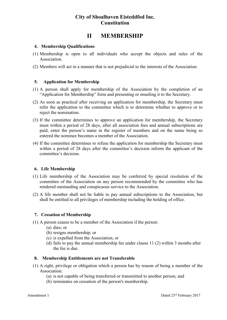## **II MEMBERSHIP**

## <span id="page-4-1"></span><span id="page-4-0"></span>**4. Membership Qualifications**

- (1) Membership is open to all individuals who accept the objects and rules of the Association.
- (2) Members will act in a manner that is not prejudicial to the interests of the Association.

## <span id="page-4-2"></span>**5. Application for Membership**

- (1) A person shall apply for membership of the Association by the completion of an "Application for Membership" form and presenting or emailing it to the Secretary.
- (2) As soon as practical after receiving an application for membership, the Secretary must refer the application to the committee which is to determine whether to approve or to reject the nomination.
- (3) If the committee determines to approve an application for membership, the Secretary must within a period of 28 days, after all association fees and annual subscriptions are paid, enter the person's name in the register of members and on the name being so entered the nominee becomes a member of the Association.
- (4) If the committee determines to refuse the application for membership the Secretary must within a period of 28 days after the committee's decision inform the applicant of the committee's decision.

### <span id="page-4-3"></span>**6. Life Membership**

- (1) Life membership of the Association may be conferred by special resolution of the committee of the Association on any person recommended by the committee who has rendered outstanding and conspicuous service to the Association.
- (2) A life member shall not be liable to pay annual subscriptions to the Association, but shall be entitled to all privileges of membership including the holding of office.

### <span id="page-4-4"></span>**7. Cessation of Membership**

- (1) A person ceases to be a member of the Association if the person:
	- (a) dies; or
	- (b) resigns membership; or
	- (c) is expelled from the Association, or
	- (d) fails to pay the annual membership fee under clause 11 (2) within 3 months after the fee is due.

### <span id="page-4-5"></span>**8. Membership Entitlements are not Transferable**

- (1) A right, privilege or obligation which a person has by reason of being a member of the Association:
	- (a) is not capable of being transferred or transmitted to another person; and
	- (b) terminates on cessation of the person's membership.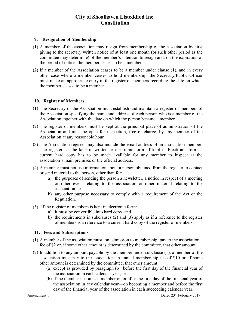## <span id="page-5-0"></span>**9. Resignation of Membership**

- (1) A member of the association may resign from membership of the association by first giving to the secretary written notice of at least one month (or such other period as the committee may determine) of the member's intention to resign and, on the expiration of the period of notice, the member ceases to be a member.
- (2) If a member of the Association ceases to be a member under clause (1), and in every other case where a member ceases to hold membership, the Secretary/Public Officer must make an appropriate entry in the register of members recording the date on which the member ceased to be a member.

## <span id="page-5-1"></span>**10. Register of Members**

- (1) The Secretary of the Association must establish and maintain a register of members of the Association specifying the name and address of each person who is a member of the Association together with the date on which the person became a member.
- (2) The register of members must be kept at the principal place of administration of the Association and must be open for inspection, free of charge, by any member of the Association at any reasonable hour.
- (3) The Association register may also include the email address of an association member. The register can be kept in written or electronic form. If kept in Electronic form, a current hard copy has to be made available for any member to inspect at the association's main premises or the official address.
- (4) A member must not use information about a person obtained from the register to contact or send material to the person, other than for:
	- a) the purposes of sending the person a newsletter, a notice in respect of a meeting or other event relating to the association or other material relating to the association, or
	- b) any other purpose necessary to comply with a requirement of the Act or the Regulation.
- (5) If the register of members is kept in electronic form:
	- a) it must be convertible into hard copy, and
	- b) the requirements in subclauses (2) and (3) apply as if a reference to the register of members is a reference to a current hard copy of the register of members.

### <span id="page-5-2"></span>**11. Fees and Subscriptions**

- (1) A member of the association must, on admission to membership, pay to the association a fee of \$2 or, if some other amount is determined by the committee, that other amount.
- (2) In addition to any amount payable by the member under subclause (1), a member of the association must pay to the association an annual membership fee of \$10 or, if some other amount is determined by the committee, that other amount:
	- (a) except as provided by paragraph (b), before the first day of the financial year of the association in each calendar year, or
	- (b) if the member becomes a member on or after the first day of the financial year of the association in any calendar year—on becoming a member and before the first day of the financial year of the association in each succeeding calendar year.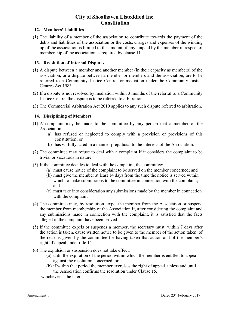## <span id="page-6-0"></span>**12. Members' Liabilities**

(1) The liability of a member of the association to contribute towards the payment of the debts and liabilities of the association or the costs, charges and expenses of the winding up of the association is limited to the amount, if any, unpaid by the member in respect of membership of the association as required by clause 11

## <span id="page-6-1"></span>**13. Resolution of Internal Disputes**

- (1) A dispute between a member and another member (in their capacity as members) of the association, or a dispute between a member or members and the association, are to be referred to a Community Justice Centre for mediation under the Community Justice Centres Act 1983.
- (2) If a dispute is not resolved by mediation within 3 months of the referral to a Community Justice Centre, the dispute is to be referred to arbitration.
- (3) The Commercial Arbitration Act 2010 applies to any such dispute referred to arbitration.

## <span id="page-6-2"></span>**14. Disciplining of Members**

- (1) A complaint may be made to the committee by any person that a member of the Association:
	- a) has refused or neglected to comply with a provision or provisions of this constitution; or
	- b) has wilfully acted in a manner prejudicial to the interests of the Association.
- (2) The committee may refuse to deal with a complaint if it considers the complaint to be trivial or vexatious in nature.
- (3) If the committee decides to deal with the complaint, the committee:
	- (a) must cause notice of the complaint to be served on the member concerned; and
	- (b) must give the member at least 14 days from the time the notice is served within which to make submissions to the committee in connection with the complaint; and
	- (c) must take into consideration any submissions made by the member in connection with the complaint.
- (4) The committee may, by resolution, expel the member from the Association or suspend the member from membership of the Association if, after considering the complaint and any submissions made in connection with the complaint, it is satisfied that the facts alleged in the complaint have been proved.
- (5) If the committee expels or suspends a member, the secretary must, within 7 days after the action is taken, cause written notice to be given to the member of the action taken, of the reasons given by the committee for having taken that action and of the member's right of appeal under rule 15.
- (6) The expulsion or suspension does not take effect:
	- (a) until the expiration of the period within which the member is entitled to appeal against the resolution concerned; or
	- (b) if within that period the member exercises the right of appeal, unless and until the Association confirms the resolution under Clause 15,

whichever is the later.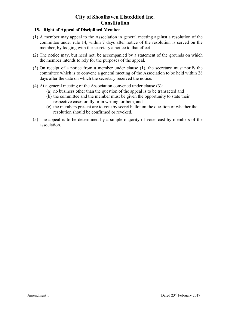## <span id="page-7-0"></span>**15. Right of Appeal of Disciplined Member**

- (1) A member may appeal to the Association in general meeting against a resolution of the committee under rule 14, within 7 days after notice of the resolution is served on the member, by lodging with the secretary a notice to that effect.
- (2) The notice may, but need not, be accompanied by a statement of the grounds on which the member intends to rely for the purposes of the appeal.
- (3) On receipt of a notice from a member under clause (1), the secretary must notify the committee which is to convene a general meeting of the Association to be held within 28 days after the date on which the secretary received the notice.
- (4) At a general meeting of the Association convened under clause (3):
	- (a) no business other than the question of the appeal is to be transacted and
		- (b) the committee and the member must be given the opportunity to state their respective cases orally or in writing, or both, and
		- (c) the members present are to vote by secret ballot on the question of whether the resolution should be confirmed or revoked.
- (5) The appeal is to be determined by a simple majority of votes cast by members of the association.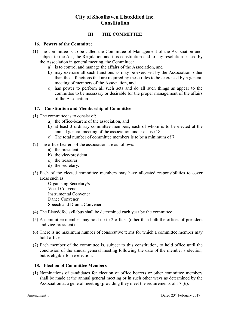## **III THE COMMITTEE**

### <span id="page-8-1"></span><span id="page-8-0"></span>**16. Powers of the Committee**

- (1) The committee is to be called the Committee of Management of the Association and, subject to the Act, the Regulation and this constitution and to any resolution passed by the Association in general meeting, the Committee:
	- a) is to control and manage the affairs of the Association, and
	- b) may exercise all such functions as may be exercised by the Association, other than those functions that are required by these rules to be exercised by a general meeting of members of the Association, and
	- c) has power to perform all such acts and do all such things as appear to the committee to be necessary or desirable for the proper management of the affairs of the Association.

### <span id="page-8-2"></span>**17. Constitution and Membership of Committee**

(1) The committee is to consist of:

- a) the office-bearers of the association, and
- b) at least 3 ordinary committee members, each of whom is to be elected at the annual general meeting of the association under clause 18.
- c) The total number of committee members is to be a minimum of 7.
- (2) The office-bearers of the association are as follows:
	- a) the president,
	- b) the vice-president,
	- c) the treasurer,
	- d) the secretary.
- (3) Each of the elected committee members may have allocated responsibilities to cover areas such as:
	- Organising Secretary/s Vocal Convener Instrumental Convener Dance Convener Speech and Drama Convener
- (4) The Eisteddfod syllabus shall be determined each year by the committee.
- (5) A committee member may hold up to 2 offices (other than both the offices of president and vice-president).
- (6) There is no maximum number of consecutive terms for which a committee member may hold office.
- (7) Each member of the committee is, subject to this constitution, to hold office until the conclusion of the annual general meeting following the date of the member's election, but is eligible for re-election.

## <span id="page-8-3"></span>**18. Election of Committee Members**

(1) Nominations of candidates for election of office bearers or other committee members shall be made at the annual general meeting or in such other ways as determined by the Association at a general meeting (providing they meet the requirements of 17 (6).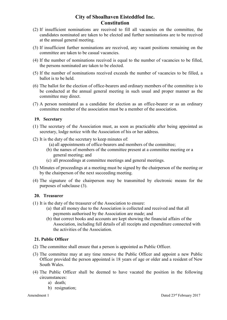- (2) If insufficient nominations are received to fill all vacancies on the committee, the candidates nominated are taken to be elected and further nominations are to be received at the annual general meeting.
- (3) If insufficient further nominations are received, any vacant positions remaining on the committee are taken to be casual vacancies.
- (4) If the number of nominations received is equal to the number of vacancies to be filled, the persons nominated are taken to be elected.
- (5) If the number of nominations received exceeds the number of vacancies to be filled, a ballot is to be held.
- (6) The ballot for the election of office-bearers and ordinary members of the committee is to be conducted at the annual general meeting in such usual and proper manner as the committee may direct.
- (7) A person nominated as a candidate for election as an office-bearer or as an ordinary committee member of the association must be a member of the association.

### <span id="page-9-0"></span>**19. Secretary**

- (1) The secretary of the Association must, as soon as practicable after being appointed as secretary, lodge notice with the Association of his or her address.
- (2) It is the duty of the secretary to keep minutes of:
	- (a) all appointments of office-bearers and members of the committee;
	- (b) the names of members of the committee present at a committee meeting or a general meeting; and
	- (c) all proceedings at committee meetings and general meetings.
- (3) Minutes of proceedings at a meeting must be signed by the chairperson of the meeting or by the chairperson of the next succeeding meeting.
- (4) The signature of the chairperson may be transmitted by electronic means for the purposes of subclause (3).

### <span id="page-9-1"></span>**20. Treasurer**

- (1) It is the duty of the treasurer of the Association to ensure:
	- (a) that all money due to the Association is collected and received and that all payments authorised by the Association are made; and
	- (b) that correct books and accounts are kept showing the financial affairs of the Association, including full details of all receipts and expenditure connected with the activities of the Association.

## <span id="page-9-2"></span>**21. Public Officer**

- (2) The committee shall ensure that a person is appointed as Public Officer.
- (3) The committee may at any time remove the Public Officer and appoint a new Public Officer provided the person appointed is 18 years of age or older and a resident of New South Wales.
- (4) The Public Officer shall be deemed to have vacated the position in the following circumstances:
	- a) death;
	- b) resignation;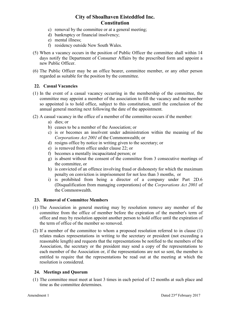- c) removal by the committee or at a general meeting;
- d) bankruptcy or financial insolvency;
- e) mental illness;
- f) residency outside New South Wales.
- (5) When a vacancy occurs in the position of Public Officer the committee shall within 14 days notify the Department of Consumer Affairs by the prescribed form and appoint a new Public Officer.
- (6) The Public Officer may be an office bearer, committee member, or any other person regarded as suitable for the position by the committee.

## <span id="page-10-0"></span>**22. Casual Vacancies**

- (1) In the event of a casual vacancy occurring in the membership of the committee, the committee may appoint a member of the association to fill the vacancy and the member so appointed is to hold office, subject to this constitution, until the conclusion of the annual general meeting next following the date of the appointment.
- (2) A casual vacancy in the office of a member of the committee occurs if the member:
	- a) dies; or
	- b) ceases to be a member of the Association; or
	- c) is or becomes an insolvent under administration within the meaning of the *Corporations Act 2001* of the Commonwealth; or
	- d) resigns office by notice in writing given to the secretary; or
	- e) is removed from office under clause 22; or
	- f) becomes a mentally incapacitated person; or
	- g) is absent without the consent of the committee from 3 consecutive meetings of the committee, or
	- h) is convicted of an offence involving fraud or dishonesty for which the maximum penalty on conviction is imprisonment for not less than 3 months, or
	- i) is prohibited from being a director of a company under Part 2D.6 (Disqualification from managing corporations) of the *Corporations Act 2001* of the Commonwealth.

## <span id="page-10-1"></span>**23. Removal of Committee Members**

- (1) The Association in general meeting may by resolution remove any member of the committee from the office of member before the expiration of the member's term of office and may by resolution appoint another person to hold office until the expiration of the term of office of the member so removed.
- (2) If a member of the committee to whom a proposed resolution referred to in clause (1) relates makes representations in writing to the secretary or president (not exceeding a reasonable length) and requests that the representations be notified to the members of the Association, the secretary or the president may send a copy of the representations to each member of the Association or, if the representations are not so sent, the member is entitled to require that the representations be read out at the meeting at which the resolution is considered.

## <span id="page-10-2"></span>**24. Meetings and Quorum**

(1) The committee must meet at least 3 times in each period of 12 months at such place and time as the committee determines.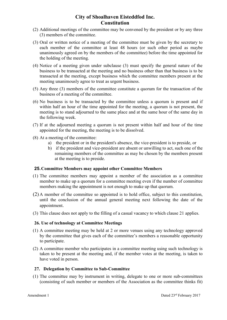- (2) Additional meetings of the committee may be convened by the president or by any three (3) members of the committee.
- (3) Oral or written notice of a meeting of the committee must be given by the secretary to each member of the committee at least 48 hours (or such other period as maybe unanimously agreed on by the members of the committee) before the time appointed for the holding of the meeting.
- (4) Notice of a meeting given under subclause (3) must specify the general nature of the business to be transacted at the meeting and no business other than that business is to be transacted at the meeting, except business which the committee members present at the meeting unanimously agree to treat as urgent business.
- (5) Any three (3) members of the committee constitute a quorum for the transaction of the business of a meeting of the committee.
- (6) No business is to be transacted by the committee unless a quorum is present and if within half an hour of the time appointed for the meeting, a quorum is not present, the meeting is to stand adjourned to the same place and at the same hour of the same day in the following week.
- (7) If at the adjourned meeting a quorum is not present within half and hour of the time appointed for the meeting, the meeting is to be dissolved.
- (8) At a meeting of the committee:
	- a) the president or in the president's absence, the vice-president is to preside, or
	- b) if the president and vice-president are absent or unwilling to act, such one of the remaining members of the committee as may be chosen by the members present at the meeting is to preside.

### <span id="page-11-0"></span>**25.Committee Members may appoint other Committee Members**

- (1) The committee members may appoint a member of the association as a committee member to make up a quorum for a committee meeting even if the number of committee members making the appointment is not enough to make up that quorum.
- (2) A member of the committee so appointed is to hold office, subject to this constitution, until the conclusion of the annual general meeting next following the date of the appointment.
- <span id="page-11-1"></span>(3) This clause does not apply to the filling of a casual vacancy to which clause 21 applies.

## **26. Use of technology at Committee Meetings**

- (1) A committee meeting may be held at 2 or more venues using any technology approved by the committee that gives each of the committee's members a reasonable opportunity to participate.
- (2) A committee member who participates in a committee meeting using such technology is taken to be present at the meeting and, if the member votes at the meeting, is taken to have voted in person.

### <span id="page-11-2"></span>**27. Delegation by Committee to Sub-Committee**

(1) The committee may by instrument in writing, delegate to one or more sub-committees (consisting of such member or members of the Association as the committee thinks fit)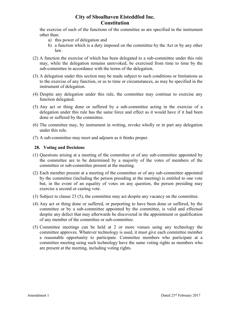the exercise of such of the functions of the committee as are specified in the instrument other than:

- a) this power of delegation and
- b) a function which is a duty imposed on the committee by the Act or by any other law.
- (2) A function the exercise of which has been delegated to a sub-committee under this rule may, while the delegation remains unrevoked, be exercised from time to time by the sub-committee in accordance with the terms of the delegation.
- (3) A delegation under this section may be made subject to such conditions or limitations as to the exercise of any function, or as to time or circumstances, as may be specified in the instrument of delegation.
- (4) Despite any delegation under this rule, the committee may continue to exercise any function delegated.
- (5) Any act or thing done or suffered by a sub-committee acting in the exercise of a delegation under this rule has the same force and effect as it would have if it had been done or suffered by the committee.
- (6) The committee may, by instrument in writing, revoke wholly or in part any delegation under this rule.
- (7) A sub-committee may meet and adjourn as it thinks proper.

## <span id="page-12-0"></span>**28. Voting and Decisions**

- (1) Questions arising at a meeting of the committee or of any sub-committee appointed by the committee are to be determined by a majority of the votes of members of the committee or sub-committee present at the meeting.
- (2) Each member present at a meeting of the committee or of any sub-committee appointed by the committee (including the person presiding at the meeting) is entitled to one vote but, in the event of an equality of votes on any question, the person presiding may exercise a second or casting vote.
- (3) Subject to clause 23 (5), the committee may act despite any vacancy on the committee.
- (4) Any act or thing done or suffered, or purporting to have been done or suffered, by the committee or by a sub-committee appointed by the committee, is valid and effectual despite any defect that may afterwards be discovered in the appointment or qualification of any member of the committee or sub-committee.
- (5) Committee meetings can be held at 2 or more venues using any technology the committee approves. Whatever technology is used, it must give each committee member a reasonable opportunity to participate. Committee members who participate at a committee meeting using such technology have the same voting rights as members who are present at the meeting, including voting rights.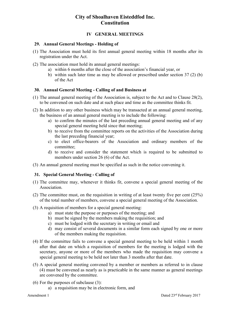## **IV GENERAL MEETINGS**

## <span id="page-13-1"></span><span id="page-13-0"></span>**29. Annual General Meetings - Holding of**

- (1) The Association must hold its first annual general meeting within 18 months after its registration under the Act.
- (2) The association must hold its annual general meetings:
	- a) within 6 months after the close of the association's financial year, or
	- b) within such later time as may be allowed or prescribed under section 37 (2) (b) of the Act

## <span id="page-13-2"></span>**30. Annual General Meeting - Calling of and Business at**

- (1) The annual general meeting of the Association is, subject to the Act and to Clause 28(2), to be convened on such date and at such place and time as the committee thinks fit.
- (2) In addition to any other business which may be transacted at an annual general meeting, the business of an annual general meeting is to include the following:
	- a) to confirm the minutes of the last preceding annual general meeting and of any special general meeting held since that meeting;
	- b) to receive from the committee reports on the activities of the Association during the last preceding financial year;
	- c) to elect office-bearers of the Association and ordinary members of the committee;
	- d) to receive and consider the statement which is required to be submitted to members under section 26 (6) of the Act.
- (3) An annual general meeting must be specified as such in the notice convening it.

## <span id="page-13-3"></span>**31. Special General Meeting - Calling of**

- (1) The committee may, whenever it thinks fit, convene a special general meeting of the Association.
- (2) The committee must, on the requisition in writing of at least twenty five per cent (25%) of the total number of members, convene a special general meeting of the Association.
- (3) A requisition of members for a special general meeting:
	- a) must state the purpose or purposes of the meeting; and
	- b) must be signed by the members making the requisition; and
	- c) must be lodged with the secretary in writing or email and
	- d) may consist of several documents in a similar form each signed by one or more of the members making the requisition.
- (4) If the committee fails to convene a special general meeting to be held within 1 month after that date on which a requisition of members for the meeting is lodged with the secretary, anyone or more of the members who made the requisition may convene a special general meeting to be held not later than 3 months after that date.
- (5) A special general meeting convened by a member or members as referred to in clause (4) must be convened as nearly as is practicable in the same manner as general meetings are convened by the committee.
- (6) For the purposes of subclause (3):
	- a) a requisition may be in electronic form, and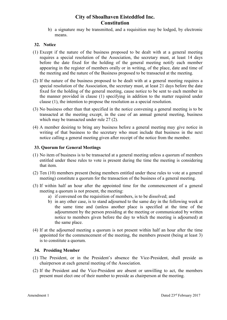b) a signature may be transmitted, and a requisition may be lodged, by electronic means.

## <span id="page-14-0"></span>**32. Notice**

- (1) Except if the nature of the business proposed to be dealt with at a general meeting requires a special resolution of the Association, the secretary must, at least 14 days before the date fixed for the holding of the general meeting notify each member appearing in the register of members orally or in writing, of the place, date and time of the meeting and the nature of the Business proposed to be transacted at the meeting.
- (2) If the nature of the business proposed to be dealt with at a general meeting requires a special resolution of the Association, the secretary must, at least 21 days before the date fixed for the holding of the general meeting, cause notice to be sent to each member in the manner provided in clause (1) specifying in addition to the matter required under clause (1), the intention to propose the resolution as a special resolution.
- (3) No business other than that specified in the notice convening a general meeting is to be transacted at the meeting except, in the case of an annual general meeting, business which may be transacted under rule 27 (2).
- (4) A member desiring to bring any business before a general meeting may give notice in writing of that business to the secretary who must include that business in the next notice calling a general meeting given after receipt of the notice from the member.

## <span id="page-14-1"></span>**33. Quorum for General Meetings**

- (1) No item of business is to be transacted at a general meeting unless a quorum of members entitled under these rules to vote is present during the time the meeting is considering that item.
- (2) Ten (10) members present (being members entitled under these rules to vote at a general meeting) constitute a quorum for the transaction of the business of a general meeting.
- (3) If within half an hour after the appointed time for the commencement of a general meeting a quorum is not present, the meeting:
	- a) if convened on the requisition of members, is to be dissolved; and
	- b) in any other case, is to stand adjourned to the same day in the following week at the same time and (unless another place is specified at the time of the adjournment by the person presiding at the meeting or communicated by written notice to members given before the day to which the meeting is adjourned) at the same place.
- (4) If at the adjourned meeting a quorum is not present within half an hour after the time appointed for the commencement of the meeting, the members present (being at least 3) is to constitute a quorum.

### <span id="page-14-2"></span>**34. Presiding Member**

- (1) The President, or in the President's absence the Vice-President, shall preside as chairperson at each general meeting of the Association.
- (2) If the President and the Vice-President are absent or unwilling to act, the members present must elect one of their number to preside as chairperson at the meeting.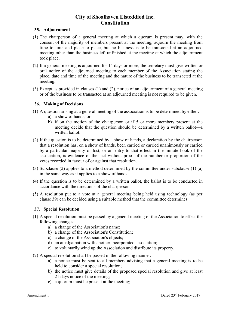## <span id="page-15-0"></span>**35. Adjournment**

- (1) The chairperson of a general meeting at which a quorum is present may, with the consent of the majority of members present at the meeting, adjourn the meeting from time to time and place to place, but no business is to be transacted at an adjourned meeting other than the business left unfinished at the meeting at which the adjournment took place.
- (2) If a general meeting is adjourned for 14 days or more, the secretary must give written or oral notice of the adjourned meeting to each member of the Association stating the place, date and time of the meeting and the nature of the business to be transacted at the meeting.
- (3) Except as provided in clauses (1) and (2), notice of an adjournment of a general meeting or of the business to be transacted at an adjourned meeting is not required to be given.

## <span id="page-15-1"></span>**36. Making of Decisions**

- (1) A question arising at a general meeting of the association is to be determined by either:
	- a) a show of hands, or
	- b) if on the motion of the chairperson or if 5 or more members present at the meeting decide that the question should be determined by a written ballot—a written ballot.
- (2) If the question is to be determined by a show of hands, a declaration by the chairperson that a resolution has, on a show of hands, been carried or carried unanimously or carried by a particular majority or lost, or an entry to that effect in the minute book of the association, is evidence of the fact without proof of the number or proportion of the votes recorded in favour of or against that resolution.
- (3) Subclause (2) applies to a method determined by the committee under subclause (1) (a) in the same way as it applies to a show of hands.
- (4) If the question is to be determined by a written ballot, the ballot is to be conducted in accordance with the directions of the chairperson.
- (5) A resolution put to a vote at a general meeting being held using technology (as per clause 39) can be decided using a suitable method that the committee determines.

## <span id="page-15-2"></span>**37. Special Resolution**

- (1) A special resolution must be passed by a general meeting of the Association to effect the following changes:
	- a) a change of the Association's name;
	- b) a change of the Association's Constitution;
	- c) a change of the Association's objects;
	- d) an amalgamation with another incorporated association;
	- e) to voluntarily wind up the Association and distribute its property.
- (2) A special resolution shall be passed in the following manner:
	- a) a notice must be sent to all members advising that a general meeting is to be held to consider a special resolution;
	- b) the notice must give details of the proposed special resolution and give at least 21 days notice of the meeting;
	- c) a quorum must be present at the meeting;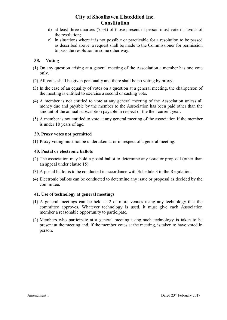- d) at least three quarters (75%) of those present in person must vote in favour of the resolution;
- e) in situations where it is not possible or practicable for a resolution to be passed as described above, a request shall be made to the Commissioner for permission to pass the resolution in some other way.

## <span id="page-16-0"></span>**38. Voting**

- (1) On any question arising at a general meeting of the Association a member has one vote only.
- (2) All votes shall be given personally and there shall be no voting by proxy.
- (3) In the case of an equality of votes on a question at a general meeting, the chairperson of the meeting is entitled to exercise a second or casting vote.
- (4) A member is not entitled to vote at any general meeting of the Association unless all money due and payable by the member to the Association has been paid other than the amount of the annual subscription payable in respect of the then current year.
- (5) A member is not entitled to vote at any general meeting of the association if the member is under 18 years of age.

## <span id="page-16-1"></span>**39. Proxy votes not permitted**

<span id="page-16-2"></span>(1) Proxy voting must not be undertaken at or in respect of a general meeting.

### **40. Postal or electronic ballots**

- (2) The association may hold a postal ballot to determine any issue or proposal (other than an appeal under clause 15).
- (3) A postal ballot is to be conducted in accordance with Schedule 3 to the Regulation.
- (4) Electronic ballots can be conducted to determine any issue or proposal as decided by the committee.

## <span id="page-16-3"></span>**41. Use of technology at general meetings**

- (1) A general meetings can be held at 2 or more venues using any technology that the committee approves. Whatever technology is used, it must give each Association member a reasonable opportunity to participate.
- (2) Members who participate at a general meeting using such technology is taken to be present at the meeting and, if the member votes at the meeting, is taken to have voted in person.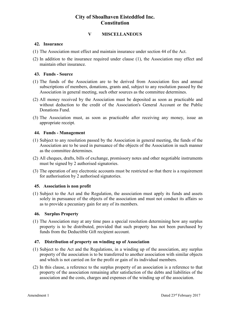## **V MISCELLANEOUS**

#### <span id="page-17-1"></span><span id="page-17-0"></span>**42. Insurance**

- (1) The Association must effect and maintain insurance under section 44 of the Act.
- (2) In addition to the insurance required under clause (1), the Association may effect and maintain other insurance.

#### <span id="page-17-2"></span>**43. Funds - Source**

- (1) The funds of the Association are to be derived from Association fees and annual subscriptions of members, donations, grants and, subject to any resolution passed by the Association in general meeting, such other sources as the committee determines.
- (2) All money received by the Association must be deposited as soon as practicable and without deduction to the credit of the Association's General Account or the Public Donations Fund.
- (3) The Association must, as soon as practicable after receiving any money, issue an appropriate receipt.

#### <span id="page-17-3"></span>**44. Funds - Management**

- (1) Subject to any resolution passed by the Association in general meeting, the funds of the Association are to be used in pursuance of the objects of the Association in such manner as the committee determines.
- (2) All cheques, drafts, bills of exchange, promissory notes and other negotiable instruments must be signed by 2 authorised signatories.
- (3) The operation of any electronic accounts must be restricted so that there is a requirement for authorisation by 2 authorised signatories.

### <span id="page-17-4"></span>**45. Association is non profit**

(1) Subject to the Act and the Regulation, the association must apply its funds and assets solely in pursuance of the objects of the association and must not conduct its affairs so as to provide a pecuniary gain for any of its members.

#### <span id="page-17-5"></span>**46. Surplus Property**

(1) The Association may at any time pass a special resolution determining how any surplus property is to be distributed, provided that such property has not been purchased by funds from the Deductible Gift recipient account.

### <span id="page-17-6"></span>**47. Distribution of property on winding up of Association**

- (1) Subject to the Act and the Regulations, in a winding up of the association, any surplus property of the association is to be transferred to another association with similar objects and which is not carried on for the profit or gain of its individual members.
- (2) In this clause, a reference to the surplus property of an association is a reference to that property of the association remaining after satisfaction of the debts and liabilities of the association and the costs, charges and expenses of the winding up of the association.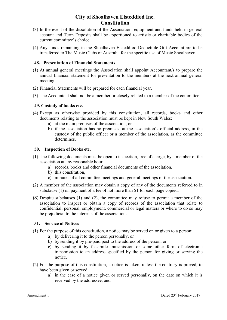- (3) In the event of the dissolution of the Association, equipment and funds held in general account and Term Deposits shall be apportioned to artistic or charitable bodies of the current committee's choice.
- (4) Any funds remaining in the Shoalhaven Eisteddfod Deductible Gift Account are to be transferred to The Music Clubs of Australia for the specific use of Music Shoalhaven.

## <span id="page-18-0"></span>**48. Presentation of Financial Statements**

- (1) At annual general meetings the Association shall appoint Accountant/s to prepare the annual financial statement for presentation to the members at the next annual general meeting.
- (2) Financial Statements will be prepared for each financial year.
- <span id="page-18-1"></span>(3) The Accountant shall not be a member or closely related to a member of the committee.

## **49. Custody of books etc.**

- (4) Except as otherwise provided by this constitution, all records, books and other documents relating to the association must be kept in New South Wales:
	- a) at the main premises of the association, or
	- b) if the association has no premises, at the association's official address, in the custody of the public officer or a member of the association, as the committee determines.

### <span id="page-18-2"></span>**50. Inspection of Books etc.**

- (1) The following documents must be open to inspection, free of charge, by a member of the association at any reasonable hour:
	- a) records, books and other financial documents of the association,
	- b) this constitution,
	- c) minutes of all committee meetings and general meetings of the association.
- (2) A member of the association may obtain a copy of any of the documents referred to in subclause (1) on payment of a fee of not more than \$1 for each page copied.
- (3) Despite subclauses (1) and (2), the committee may refuse to permit a member of the association to inspect or obtain a copy of records of the association that relate to confidential, personal, employment, commercial or legal matters or where to do so may be prejudicial to the interests of the association.

### <span id="page-18-3"></span>**51. Service of Notices**

- (1) For the purpose of this constitution, a notice may be served on or given to a person:
	- a) by delivering it to the person personally, or
	- b) by sending it by pre-paid post to the address of the person, or
	- c) by sending it by facsimile transmission or some other form of electronic transmission to an address specified by the person for giving or serving the notice.
- (2) For the purpose of this constitution, a notice is taken, unless the contrary is proved, to have been given or served:
	- a) in the case of a notice given or served personally, on the date on which it is received by the addressee, and